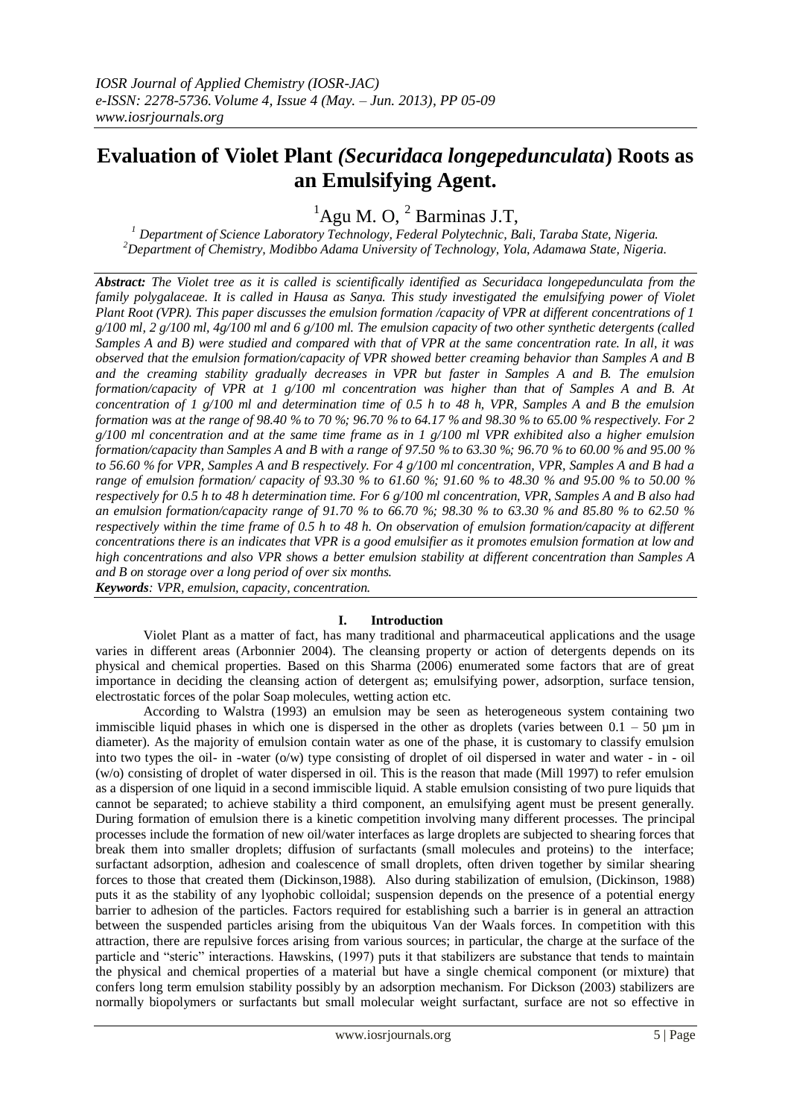# **Evaluation of Violet Plant** *(Securidaca longepedunculata***) Roots as an Emulsifying Agent.**

 ${}^{1}$ Agu M. O,  ${}^{2}$  Barminas J.T,

*<sup>1</sup> Department of Science Laboratory Technology, Federal Polytechnic, Bali, Taraba State, Nigeria. <sup>2</sup>Department of Chemistry, Modibbo Adama University of Technology, Yola, Adamawa State, Nigeria.*

*Abstract: The Violet tree as it is called is scientifically identified as Securidaca longepedunculata from the family polygalaceae. It is called in Hausa as Sanya. This study investigated the emulsifying power of Violet Plant Root (VPR). This paper discusses the emulsion formation /capacity of VPR at different concentrations of 1 g/100 ml, 2 g/100 ml, 4g/100 ml and 6 g/100 ml. The emulsion capacity of two other synthetic detergents (called Samples A and B) were studied and compared with that of VPR at the same concentration rate. In all, it was observed that the emulsion formation/capacity of VPR showed better creaming behavior than Samples A and B and the creaming stability gradually decreases in VPR but faster in Samples A and B. The emulsion formation/capacity of VPR at 1 g/100 ml concentration was higher than that of Samples A and B. At concentration of 1 g/100 ml and determination time of 0.5 h to 48 h, VPR, Samples A and B the emulsion formation was at the range of 98.40 % to 70 %; 96.70 % to 64.17 % and 98.30 % to 65.00 % respectively. For 2 g/100 ml concentration and at the same time frame as in 1 g/100 ml VPR exhibited also a higher emulsion formation/capacity than Samples A and B with a range of 97.50 % to 63.30 %; 96.70 % to 60.00 % and 95.00 % to 56.60 % for VPR, Samples A and B respectively. For 4 g/100 ml concentration, VPR, Samples A and B had a range of emulsion formation/ capacity of 93.30 % to 61.60 %; 91.60 % to 48.30 % and 95.00 % to 50.00 % respectively for 0.5 h to 48 h determination time. For 6 g/100 ml concentration, VPR, Samples A and B also had an emulsion formation/capacity range of 91.70 % to 66.70 %; 98.30 % to 63.30 % and 85.80 % to 62.50 % respectively within the time frame of 0.5 h to 48 h. On observation of emulsion formation/capacity at different concentrations there is an indicates that VPR is a good emulsifier as it promotes emulsion formation at low and high concentrations and also VPR shows a better emulsion stability at different concentration than Samples A and B on storage over a long period of over six months. Keywords: VPR, emulsion, capacity, concentration.*

## **I. Introduction**

 Violet Plant as a matter of fact, has many traditional and pharmaceutical applications and the usage varies in different areas (Arbonnier 2004). The cleansing property or action of detergents depends on its physical and chemical properties. Based on this Sharma (2006) enumerated some factors that are of great importance in deciding the cleansing action of detergent as; emulsifying power, adsorption, surface tension, electrostatic forces of the polar Soap molecules, wetting action etc.

 According to Walstra (1993) an emulsion may be seen as heterogeneous system containing two immiscible liquid phases in which one is dispersed in the other as droplets (varies between  $0.1 - 50 \mu m$  in diameter). As the majority of emulsion contain water as one of the phase, it is customary to classify emulsion into two types the oil- in -water (o/w) type consisting of droplet of oil dispersed in water and water - in - oil (w/o) consisting of droplet of water dispersed in oil. This is the reason that made (Mill 1997) to refer emulsion as a dispersion of one liquid in a second immiscible liquid. A stable emulsion consisting of two pure liquids that cannot be separated; to achieve stability a third component, an emulsifying agent must be present generally. During formation of emulsion there is a kinetic competition involving many different processes. The principal processes include the formation of new oil/water interfaces as large droplets are subjected to shearing forces that break them into smaller droplets; diffusion of surfactants (small molecules and proteins) to the interface; surfactant adsorption, adhesion and coalescence of small droplets, often driven together by similar shearing forces to those that created them (Dickinson,1988). Also during stabilization of emulsion, (Dickinson, 1988) puts it as the stability of any lyophobic colloidal; suspension depends on the presence of a potential energy barrier to adhesion of the particles. Factors required for establishing such a barrier is in general an attraction between the suspended particles arising from the ubiquitous Van der Waals forces. In competition with this attraction, there are repulsive forces arising from various sources; in particular, the charge at the surface of the particle and "steric" interactions. Hawskins, (1997) puts it that stabilizers are substance that tends to maintain the physical and chemical properties of a material but have a single chemical component (or mixture) that confers long term emulsion stability possibly by an adsorption mechanism. For Dickson (2003) stabilizers are normally biopolymers or surfactants but small molecular weight surfactant, surface are not so effective in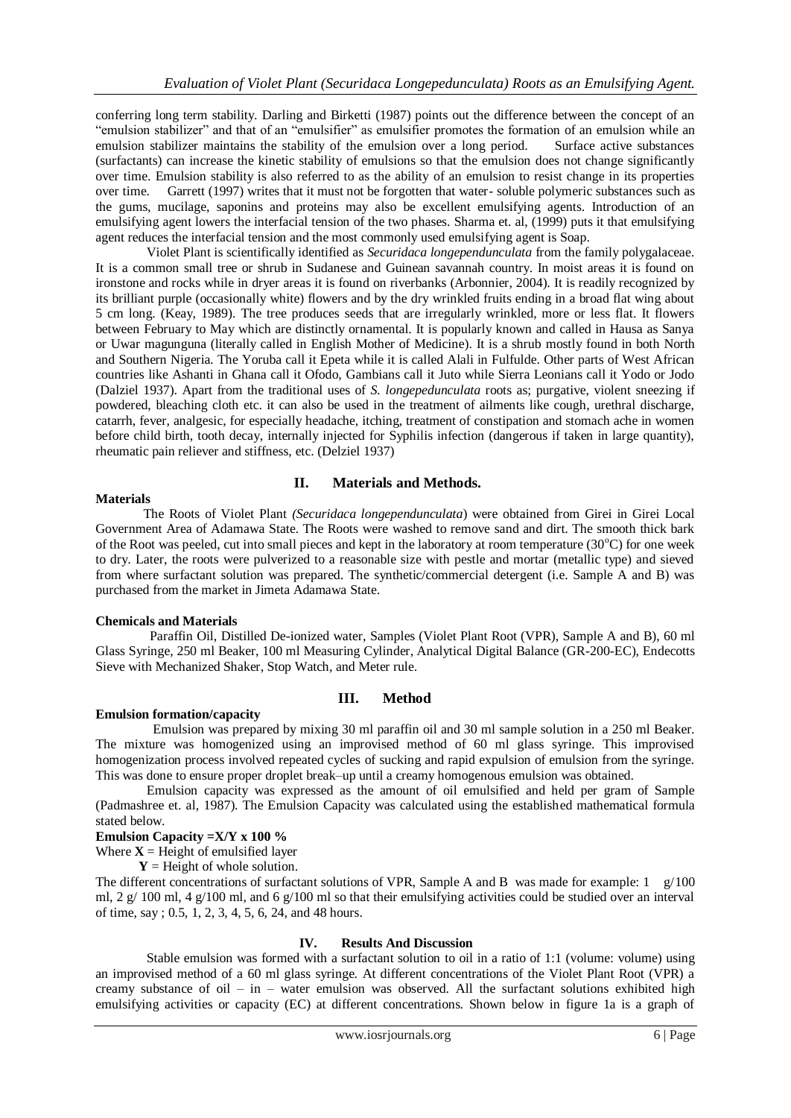conferring long term stability. Darling and Birketti (1987) points out the difference between the concept of an "emulsion stabilizer" and that of an "emulsifier" as emulsifier promotes the formation of an emulsion while an emulsion stabilizer maintains the stability of the emulsion over a long period. Surface active substances (surfactants) can increase the kinetic stability of emulsions so that the emulsion does not change significantly over time. Emulsion stability is also referred to as the ability of an emulsion to resist change in its properties over time. Garrett (1997) writes that it must not be forgotten that water- soluble polymeric substances such as the gums, mucilage, saponins and proteins may also be excellent emulsifying agents. Introduction of an emulsifying agent lowers the interfacial tension of the two phases. Sharma et. al, (1999) puts it that emulsifying agent reduces the interfacial tension and the most commonly used emulsifying agent is Soap.

 Violet Plant is scientifically identified as *Securidaca longependunculata* from the family polygalaceae. It is a common small tree or shrub in Sudanese and Guinean savannah country. In moist areas it is found on ironstone and rocks while in dryer areas it is found on riverbanks (Arbonnier, 2004). It is readily recognized by its brilliant purple (occasionally white) flowers and by the dry wrinkled fruits ending in a broad flat wing about 5 cm long. (Keay, 1989). The tree produces seeds that are irregularly wrinkled, more or less flat. It flowers between February to May which are distinctly ornamental. It is popularly known and called in Hausa as Sanya or Uwar magunguna (literally called in English Mother of Medicine). It is a shrub mostly found in both North and Southern Nigeria. The Yoruba call it Epeta while it is called Alali in Fulfulde. Other parts of West African countries like Ashanti in Ghana call it Ofodo, Gambians call it Juto while Sierra Leonians call it Yodo or Jodo (Dalziel 1937). Apart from the traditional uses of *S. longepedunculata* roots as; purgative, violent sneezing if powdered, bleaching cloth etc. it can also be used in the treatment of ailments like cough, urethral discharge, catarrh, fever, analgesic, for especially headache, itching, treatment of constipation and stomach ache in women before child birth, tooth decay, internally injected for Syphilis infection (dangerous if taken in large quantity), rheumatic pain reliever and stiffness, etc. (Delziel 1937)

### **Materials**

## **II. Materials and Methods.**

 The Roots of Violet Plant *(Securidaca longependunculata*) were obtained from Girei in Girei Local Government Area of Adamawa State. The Roots were washed to remove sand and dirt. The smooth thick bark of the Root was peeled, cut into small pieces and kept in the laboratory at room temperature  $(30^{\circ}C)$  for one week to dry. Later, the roots were pulverized to a reasonable size with pestle and mortar (metallic type) and sieved from where surfactant solution was prepared. The synthetic/commercial detergent (i.e. Sample A and B) was purchased from the market in Jimeta Adamawa State.

### **Chemicals and Materials**

 Paraffin Oil, Distilled De-ionized water, Samples (Violet Plant Root (VPR), Sample A and B), 60 ml Glass Syringe, 250 ml Beaker, 100 ml Measuring Cylinder, Analytical Digital Balance (GR-200-EC), Endecotts Sieve with Mechanized Shaker, Stop Watch, and Meter rule.

## **III. Method**

### **Emulsion formation/capacity**

 Emulsion was prepared by mixing 30 ml paraffin oil and 30 ml sample solution in a 250 ml Beaker. The mixture was homogenized using an improvised method of 60 ml glass syringe. This improvised homogenization process involved repeated cycles of sucking and rapid expulsion of emulsion from the syringe. This was done to ensure proper droplet break–up until a creamy homogenous emulsion was obtained.

 Emulsion capacity was expressed as the amount of oil emulsified and held per gram of Sample (Padmashree et. al, 1987). The Emulsion Capacity was calculated using the established mathematical formula stated below.

## **Emulsion Capacity =X/Y x 100 %**

Where  $X =$  Height of emulsified layer

 $Y =$  Height of whole solution.

The different concentrations of surfactant solutions of VPR, Sample A and B was made for example: 1 g/100 ml, 2 g/ 100 ml, 4 g/100 ml, and 6 g/100 ml so that their emulsifying activities could be studied over an interval of time, say ; 0.5, 1, 2, 3, 4, 5, 6, 24, and 48 hours.

### **IV. Results And Discussion**

 Stable emulsion was formed with a surfactant solution to oil in a ratio of 1:1 (volume: volume) using an improvised method of a 60 ml glass syringe. At different concentrations of the Violet Plant Root (VPR) a creamy substance of oil – in – water emulsion was observed. All the surfactant solutions exhibited high emulsifying activities or capacity (EC) at different concentrations. Shown below in figure 1a is a graph of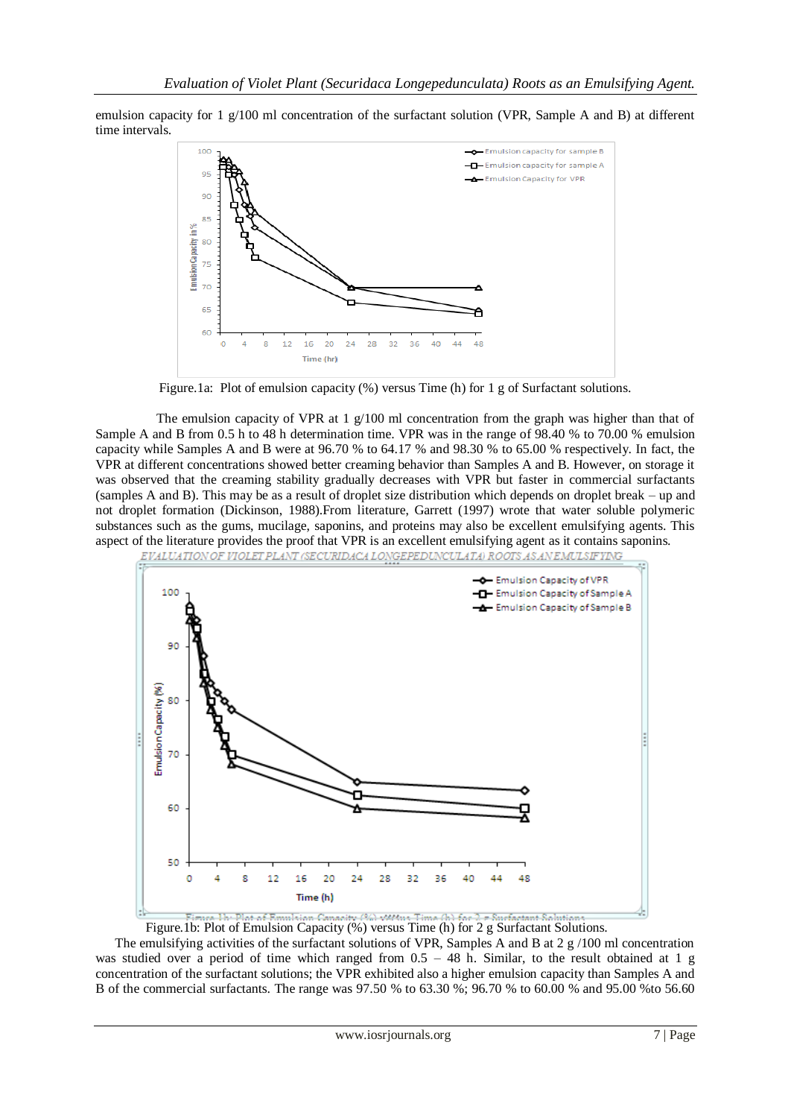emulsion capacity for 1 g/100 ml concentration of the surfactant solution (VPR, Sample A and B) at different time intervals.



Figure.1a: Plot of emulsion capacity (%) versus Time (h) for 1 g of Surfactant solutions.

The emulsion capacity of VPR at 1  $g/100$  ml concentration from the graph was higher than that of Sample A and B from 0.5 h to 48 h determination time. VPR was in the range of 98.40 % to 70.00 % emulsion capacity while Samples A and B were at 96.70 % to 64.17 % and 98.30 % to 65.00 % respectively. In fact, the VPR at different concentrations showed better creaming behavior than Samples A and B. However, on storage it was observed that the creaming stability gradually decreases with VPR but faster in commercial surfactants (samples A and B). This may be as a result of droplet size distribution which depends on droplet break – up and not droplet formation (Dickinson, 1988).From literature, Garrett (1997) wrote that water soluble polymeric substances such as the gums, mucilage, saponins, and proteins may also be excellent emulsifying agents. This aspect of the literature provides the proof that VPR is an excellent emulsifying agent as it contains saponins.



Figure. 1b: Plot of Emulsion Capacity (%) versus Time (h) for  $2 \pi$  Surfactant Solutions.<br>Figure.1b: Plot of Emulsion Capacity (%) versus Time (h) for 2 g Surfactant Solutions.

 The emulsifying activities of the surfactant solutions of VPR, Samples A and B at 2 g /100 ml concentration was studied over a period of time which ranged from  $0.5 - 48$  h. Similar, to the result obtained at 1 g concentration of the surfactant solutions; the VPR exhibited also a higher emulsion capacity than Samples A and B of the commercial surfactants. The range was 97.50 % to 63.30 %; 96.70 % to 60.00 % and 95.00 %to 56.60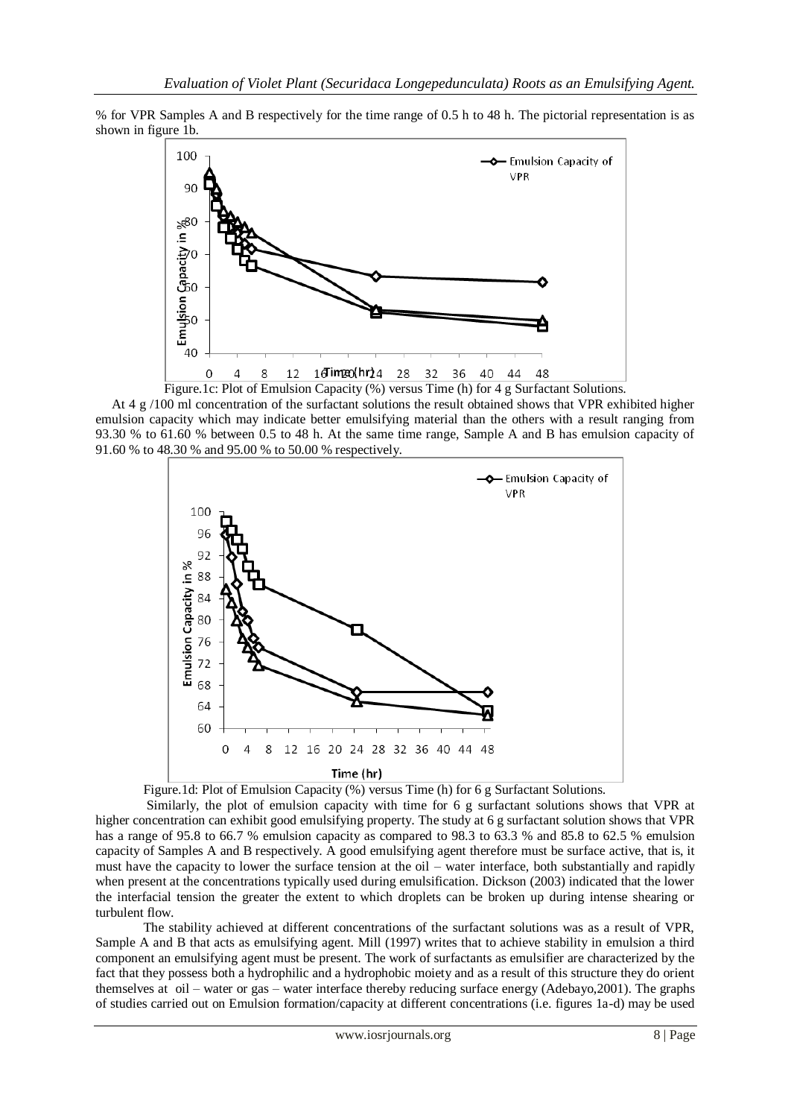% for VPR Samples A and B respectively for the time range of 0.5 h to 48 h. The pictorial representation is as shown in figure 1b.



 At 4 g /100 ml concentration of the surfactant solutions the result obtained shows that VPR exhibited higher emulsion capacity which may indicate better emulsifying material than the others with a result ranging from 93.30 % to 61.60 % between 0.5 to 48 h. At the same time range, Sample A and B has emulsion capacity of 91.60 % to 48.30 % and 95.00 % to 50.00 % respectively.



Figure.1d: Plot of Emulsion Capacity (%) versus Time (h) for 6 g Surfactant Solutions.

 Similarly, the plot of emulsion capacity with time for 6 g surfactant solutions shows that VPR at higher concentration can exhibit good emulsifying property. The study at 6 g surfactant solution shows that VPR has a range of 95.8 to 66.7 % emulsion capacity as compared to 98.3 to 63.3 % and 85.8 to 62.5 % emulsion capacity of Samples A and B respectively. A good emulsifying agent therefore must be surface active, that is, it must have the capacity to lower the surface tension at the oil – water interface, both substantially and rapidly when present at the concentrations typically used during emulsification. Dickson (2003) indicated that the lower the interfacial tension the greater the extent to which droplets can be broken up during intense shearing or turbulent flow.

 The stability achieved at different concentrations of the surfactant solutions was as a result of VPR, Sample A and B that acts as emulsifying agent. Mill (1997) writes that to achieve stability in emulsion a third component an emulsifying agent must be present. The work of surfactants as emulsifier are characterized by the fact that they possess both a hydrophilic and a hydrophobic moiety and as a result of this structure they do orient themselves at oil – water or gas – water interface thereby reducing surface energy (Adebayo,2001). The graphs of studies carried out on Emulsion formation/capacity at different concentrations (i.e. figures 1a-d) may be used